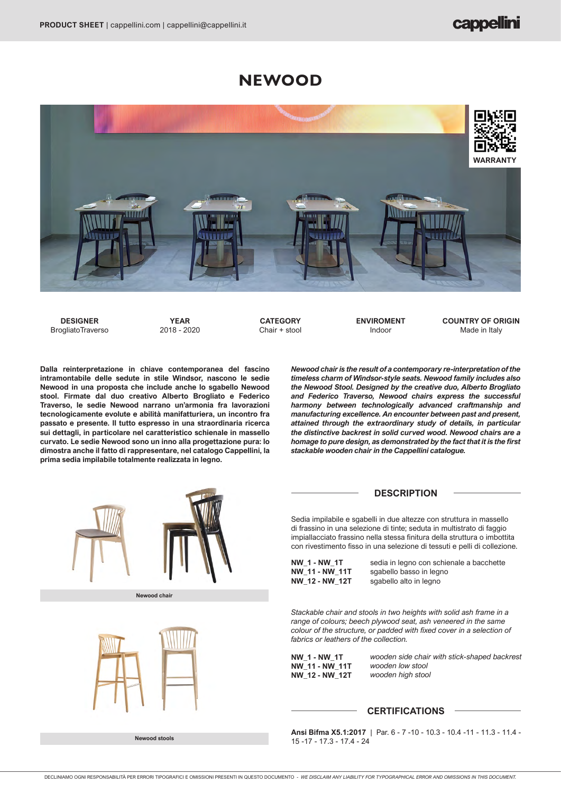# **NEWOOD**



**DESIGNER BrogliatoTraverso** 

**YEAR** 2018 - 2020

**CATEGORY** Chair + stool **ENVIROMENT** Indoor

**COUNTRY OF ORIGIN** Made in Italy

**Dalla reinterpretazione in chiave contemporanea del fascino intramontabile delle sedute in stile Windsor, nascono le sedie Newood in una proposta che include anche lo sgabello Newood stool. Firmate dal duo creativo Alberto Brogliato e Federico Traverso, le sedie Newood narrano un'armonia fra lavorazioni tecnologicamente evolute e abilità manifatturiera, un incontro fra passato e presente. Il tutto espresso in una straordinaria ricerca sui dettagli, in particolare nel caratteristico schienale in massello curvato. Le sedie Newood sono un inno alla progettazione pura: lo dimostra anche il fatto di rappresentare, nel catalogo Cappellini, la prima sedia impilabile totalmente realizzata in legno.**

*Newood chair is the result of a contemporary re-interpretation of the timeless charm of Windsor-style seats. Newood family includes also the Newood Stool. Designed by the creative duo, Alberto Brogliato and Federico Traverso, Newood chairs express the successful harmony between technologically advanced craftmanship and manufacturing excellence. An encounter between past and present, attained through the extraordinary study of details, in particular the distinctive backrest in solid curved wood. Newood chairs are a homage to pure design, as demonstrated by the fact that it is the first stackable wooden chair in the Cappellini catalogue.* 

### **DESCRIPTION**

Sedia impilabile e sgabelli in due altezze con struttura in massello di frassino in una selezione di tinte; seduta in multistrato di faggio impiallacciato frassino nella stessa finitura della struttura o imbottita con rivestimento fisso in una selezione di tessuti e pelli di collezione.

**NW\_1 - NW\_1T NW\_11 - NW\_11T NW\_12 - NW\_12T** sedia in legno con schienale a bacchette sgabello basso in legno sgabello alto in legno

*Stackable chair and stools in two heights with solid ash frame in a range of colours; beech plywood seat, ash veneered in the same colour of the structure, or padded with fixed cover in a selection of fabrics or leathers of the collection.*

**NW\_1 - NW\_1T NW\_11 - NW\_11T NW\_12 - NW\_12T** *wooden side chair with stick-shaped backrest wooden low stool wooden high stool*

## **CERTIFICATIONS**

**Ansi Bifma X5.1:2017** | Par. 6 - 7 -10 - 10.3 - 10.4 -11 - 11.3 - 11.4 - 15 -17 - 17.3 - 17.4 - 24



**Newood stools**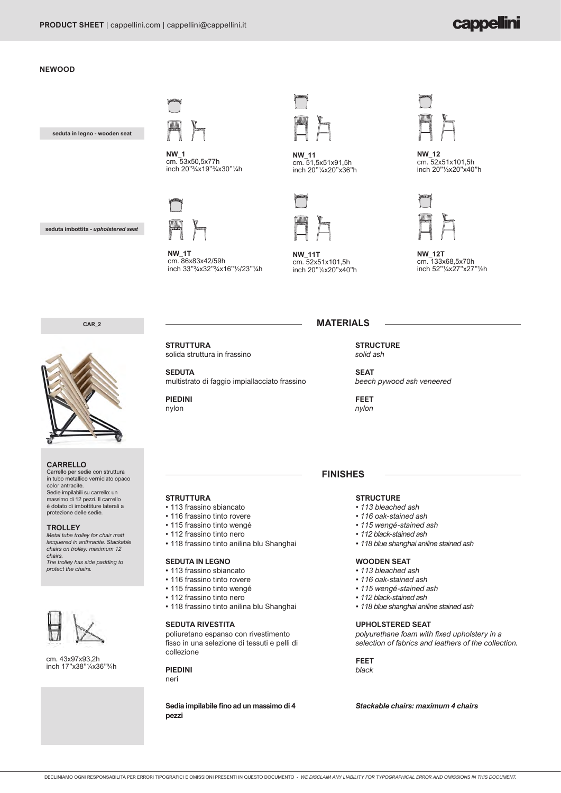# cappellini

### **NEWOOD**

**seduta in legno - wooden seat**



cm. 53x50,5x77h inch 20"¾x19"¾x30"¼h

**NW\_1T**<br>cm. 86x83x42/59h

 $\overline{\mathsf{NW}}$  :



**NW\_11** cm. 51,5x51x91,5h inch 20"¼x20"x36"h



**NW\_11T** cm. 52x51x101,5h inch 20"½x20"x40"h **NW\_1T** 20 1/4"

**MATERIALS**

**NW\_12** 20 1/2" 20 1/4" cm. 52x51x101,5h inch 20"½x20"x40"h



**NW\_12T** cm. 133x68,5x70h inch 52"¼x27"x27"½h

**CAR\_2** 

**seduta imbottita -** *upholstered seat*



### **CARRELLO**

Carrello per sedie con struttura in tubo metallico verniciato opaco color antracite. Sedie impilabili su carrello: un massimo di 12 pezzi. Il carrello è dotato di imbottiture laterali a protezione delle sedie.

### **TROLLEY**

*Metal tube trolley for chair matt lacquered in anthracite. Stackable chairs on trolley: maximum 12 chairs.*

*The trolley has side padding to protect the chairs.*



cm. 43x97x93,2h inch 17"x38"¼x36"¾h **STRUTTURA**

**SEDUTA** multistrato di faggio impiallacciato frassino

**PIEDINI** nylon

**SEAT** *beech pywood ash veneered*

**STRUCTURE** *solid ash*

**FEET** *nylon*

## **FINISHES**

### **STRUCTURE**

- *113 bleached ash*
- *116 oak-stained ash*
- *115 wengé-stained ash*
- *112 black-stained ash*
- *118 blue shanghai aniline stained ash*

### **WOODEN SEAT**

- *113 bleached ash*
- *116 oak-stained ash*
- *115 wengé-stained ash*
- *112 black-stained ash*
- *118 blue shanghai aniline stained ash*

### **UPHOLSTERED SEAT**

*polyurethane foam with fixed upholstery in a selection of fabrics and leathers of the collection.*

**FEET** *black*

*Stackable chairs: maximum 4 chairs*

DECLINIAMO OGNI RESPONSABILITÀ PER ERRORI TIPOGRAFICI E OMISSIONI PRESENTI IN QUESTO DOCUMENTO - *WE DISCLAIM ANY LIABILITY FOR TYPOGRAPHICAL ERROR AND OMISSIONS IN THIS DOCUMENT.*

solida struttura in frassino

inch 33"¾x32"¾x16"½/23"¼h

**STRUTTURA**

• 113 frassino sbiancato • 116 frassino tinto rovere • 115 frassino tinto wengé • 112 frassino tinto nero

**SEDUTA IN LEGNO** • 113 frassino sbiancato • 116 frassino tinto rovere • 115 frassino tinto wengé • 112 frassino tinto nero

**SEDUTA RIVESTITA**

collezione **PIEDINI** neri

**pezzi**

• 118 frassino tinto anilina blu Shanghai

• 118 frassino tinto anilina blu Shanghai

poliuretano espanso con rivestimento fisso in una selezione di tessuti e pelli di

**Sedia impilabile fino ad un massimo di 4**